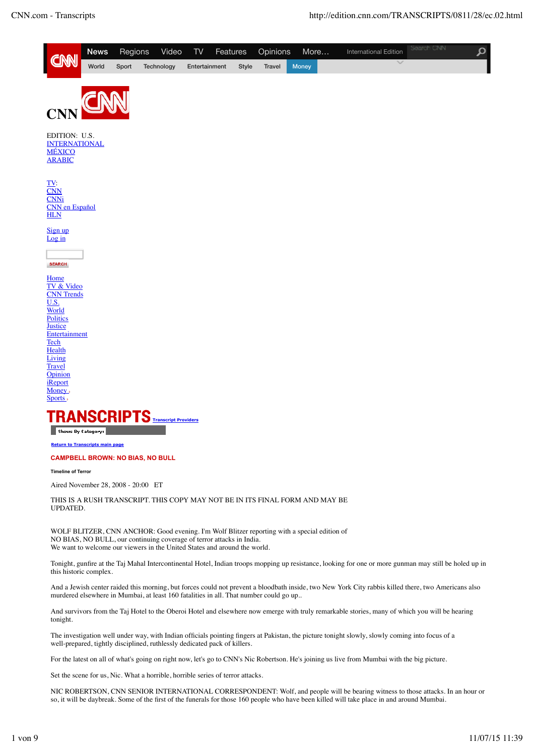

**Return to Transcripts main page** 

## **CAMPBELL BROWN: NO BIAS, NO BULL**

**Timeline of Terror**

Aired November 28, 2008 - 20:00 ET

THIS IS A RUSH TRANSCRIPT. THIS COPY MAY NOT BE IN ITS FINAL FORM AND MAY BE UPDATED.

WOLF BLITZER, CNN ANCHOR: Good evening. I'm Wolf Blitzer reporting with a special edition of NO BIAS, NO BULL, our continuing coverage of terror attacks in India. We want to welcome our viewers in the United States and around the world.

Tonight, gunfire at the Taj Mahal Intercontinental Hotel, Indian troops mopping up resistance, looking for one or more gunman may still be holed up in this historic complex.

And a Jewish center raided this morning, but forces could not prevent a bloodbath inside, two New York City rabbis killed there, two Americans also murdered elsewhere in Mumbai, at least 160 fatalities in all. That number could go up..

And survivors from the Taj Hotel to the Oberoi Hotel and elsewhere now emerge with truly remarkable stories, many of which you will be hearing tonight.

The investigation well under way, with Indian officials pointing fingers at Pakistan, the picture tonight slowly, slowly coming into focus of a well-prepared, tightly disciplined, ruthlessly dedicated pack of killers.

For the latest on all of what's going on right now, let's go to CNN's Nic Robertson. He's joining us live from Mumbai with the big picture.

Set the scene for us, Nic. What a horrible, horrible series of terror attacks.

NIC ROBERTSON, CNN SENIOR INTERNATIONAL CORRESPONDENT: Wolf, and people will be bearing witness to those attacks. In an hour or so, it will be daybreak. Some of the first of the funerals for those 160 people who have been killed will take place in and around Mumbai.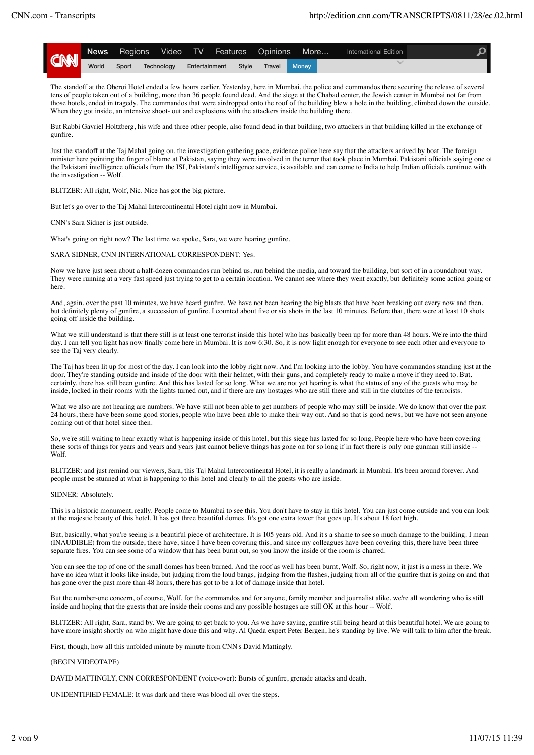

The standoff at the Oberoi Hotel ended a few hours earlier. Yesterday, here in Mumbai, the police and commandos there securing the release of several tens of people taken out of a building, more than 36 people found dead. And the siege at the Chabad center, the Jewish center in Mumbai not far from those hotels, ended in tragedy. The commandos that were airdropped onto the roof of the building blew a hole in the building, climbed down the outside. When they got inside, an intensive shoot- out and explosions with the attackers inside the building there.

But Rabbi Gavriel Holtzberg, his wife and three other people, also found dead in that building, two attackers in that building killed in the exchange of gunfire.

Just the standoff at the Taj Mahal going on, the investigation gathering pace, evidence police here say that the attackers arrived by boat. The foreign minister here pointing the finger of blame at Pakistan, saying they were involved in the terror that took place in Mumbai, Pakistani officials saying one of the Pakistani intelligence officials from the ISI, Pakistani's intelligence service, is available and can come to India to help Indian officials continue with the investigation -- Wolf.

BLITZER: All right, Wolf, Nic. Nice has got the big picture.

But let's go over to the Taj Mahal Intercontinental Hotel right now in Mumbai.

CNN's Sara Sidner is just outside.

What's going on right now? The last time we spoke, Sara, we were hearing gunfire.

SARA SIDNER, CNN INTERNATIONAL CORRESPONDENT: Yes.

Now we have just seen about a half-dozen commandos run behind us, run behind the media, and toward the building, but sort of in a roundabout way. They were running at a very fast speed just trying to get to a certain location. We cannot see where they went exactly, but definitely some action going or here.

And, again, over the past 10 minutes, we have heard gunfire. We have not been hearing the big blasts that have been breaking out every now and then, but definitely plenty of gunfire, a succession of gunfire. I counted about five or six shots in the last 10 minutes. Before that, there were at least 10 shots going off inside the building.

What we still understand is that there still is at least one terrorist inside this hotel who has basically been up for more than 48 hours. We're into the third day. I can tell you light has now finally come here in Mumbai. It is now 6:30. So, it is now light enough for everyone to see each other and everyone to see the Taj very clearly.

The Taj has been lit up for most of the day. I can look into the lobby right now. And I'm looking into the lobby. You have commandos standing just at the door. They're standing outside and inside of the door with their helmet, with their guns, and completely ready to make a move if they need to. But, certainly, there has still been gunfire. And this has lasted for so long. What we are not yet hearing is what the status of any of the guests who may be inside, locked in their rooms with the lights turned out, and if there are any hostages who are still there and still in the clutches of the terrorists.

What we also are not hearing are numbers. We have still not been able to get numbers of people who may still be inside. We do know that over the past 24 hours, there have been some good stories, people who have been able to make their way out. And so that is good news, but we have not seen anyone coming out of that hotel since then.

So, we're still waiting to hear exactly what is happening inside of this hotel, but this siege has lasted for so long. People here who have been covering these sorts of things for years and years and years just cannot believe things has gone on for so long if in fact there is only one gunman still inside -Wolf.

BLITZER: and just remind our viewers, Sara, this Taj Mahal Intercontinental Hotel, it is really a landmark in Mumbai. It's been around forever. And people must be stunned at what is happening to this hotel and clearly to all the guests who are inside.

#### SIDNER: Absolutely.

This is a historic monument, really. People come to Mumbai to see this. You don't have to stay in this hotel. You can just come outside and you can look at the majestic beauty of this hotel. It has got three beautiful domes. It's got one extra tower that goes up. It's about 18 feet high.

But, basically, what you're seeing is a beautiful piece of architecture. It is 105 years old. And it's a shame to see so much damage to the building. I mean (INAUDIBLE) from the outside, there have, since I have been covering this, and since my colleagues have been covering this, there have been three separate fires. You can see some of a window that has been burnt out, so you know the inside of the room is charred.

You can see the top of one of the small domes has been burned. And the roof as well has been burnt, Wolf. So, right now, it just is a mess in there. We have no idea what it looks like inside, but judging from the loud bangs, judging from the flashes, judging from all of the gunfire that is going on and that has gone over the past more than 48 hours, there has got to be a lot of damage inside that hotel.

But the number-one concern, of course, Wolf, for the commandos and for anyone, family member and journalist alike, we're all wondering who is still inside and hoping that the guests that are inside their rooms and any possible hostages are still OK at this hour -- Wolf.

BLITZER: All right, Sara, stand by. We are going to get back to you. As we have saying, gunfire still being heard at this beautiful hotel. We are going to have more insight shortly on who might have done this and why. Al Qaeda expert Peter Bergen, he's standing by live. We will talk to him after the break.

First, though, how all this unfolded minute by minute from CNN's David Mattingly.

# (BEGIN VIDEOTAPE)

DAVID MATTINGLY, CNN CORRESPONDENT (voice-over): Bursts of gunfire, grenade attacks and death.

UNIDENTIFIED FEMALE: It was dark and there was blood all over the steps.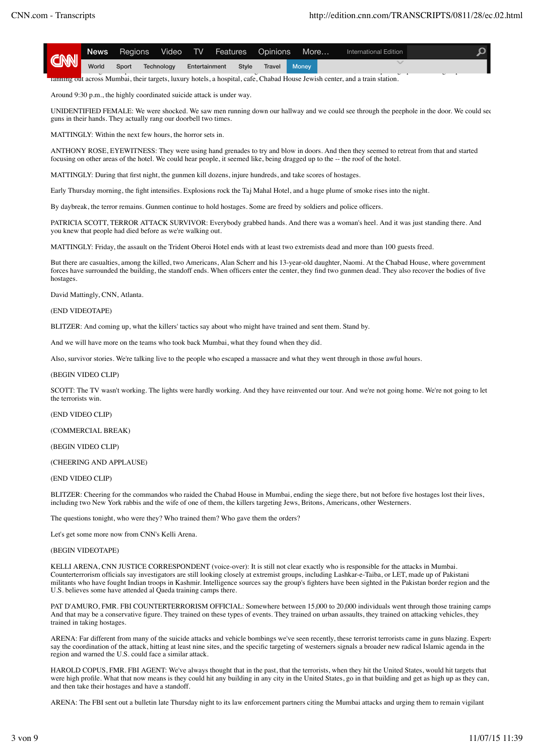|            | <b>News</b> | Regions          | Video <b>The Struck Struck Struck</b> | TV Features Opinions |       |        | More               | International Edition |  |
|------------|-------------|------------------|---------------------------------------|----------------------|-------|--------|--------------------|-----------------------|--|
| <b>CNN</b> | World       | Sport Technology |                                       | Entertainment        | Style | Travel | Money <sup>1</sup> |                       |  |

fanning out across Mumbai, their targets, luxury hotels, a hospital, cafe, Chabad House Jewish center, and a train station.

Around 9:30 p.m., the highly coordinated suicide attack is under way.

UNIDENTIFIED FEMALE: We were shocked. We saw men running down our hallway and we could see through the peephole in the door. We could see guns in their hands. They actually rang our doorbell two times.

MATTINGLY: Within the next few hours, the horror sets in.

ANTHONY ROSE, EYEWITNESS: They were using hand grenades to try and blow in doors. And then they seemed to retreat from that and started focusing on other areas of the hotel. We could hear people, it seemed like, being dragged up to the -- the roof of the hotel.

MATTINGLY: During that first night, the gunmen kill dozens, injure hundreds, and take scores of hostages.

Early Thursday morning, the fight intensifies. Explosions rock the Taj Mahal Hotel, and a huge plume of smoke rises into the night.

By daybreak, the terror remains. Gunmen continue to hold hostages. Some are freed by soldiers and police officers.

PATRICIA SCOTT, TERROR ATTACK SURVIVOR: Everybody grabbed hands. And there was a woman's heel. And it was just standing there. And you knew that people had died before as we're walking out.

MATTINGLY: Friday, the assault on the Trident Oberoi Hotel ends with at least two extremists dead and more than 100 guests freed.

But there are casualties, among the killed, two Americans, Alan Scherr and his 13-year-old daughter, Naomi. At the Chabad House, where government forces have surrounded the building, the standoff ends. When officers enter the center, they find two gunmen dead. They also recover the bodies of five hostages.

David Mattingly, CNN, Atlanta.

## (END VIDEOTAPE)

BLITZER: And coming up, what the killers' tactics say about who might have trained and sent them. Stand by.

And we will have more on the teams who took back Mumbai, what they found when they did.

Also, survivor stories. We're talking live to the people who escaped a massacre and what they went through in those awful hours.

### (BEGIN VIDEO CLIP)

SCOTT: The TV wasn't working. The lights were hardly working. And they have reinvented our tour. And we're not going home. We're not going to let the terrorists win.

(END VIDEO CLIP)

(COMMERCIAL BREAK)

## (BEGIN VIDEO CLIP)

(CHEERING AND APPLAUSE)

### (END VIDEO CLIP)

BLITZER: Cheering for the commandos who raided the Chabad House in Mumbai, ending the siege there, but not before five hostages lost their lives, including two New York rabbis and the wife of one of them, the killers targeting Jews, Britons, Americans, other Westerners.

The questions tonight, who were they? Who trained them? Who gave them the orders?

Let's get some more now from CNN's Kelli Arena.

### (BEGIN VIDEOTAPE)

KELLI ARENA, CNN JUSTICE CORRESPONDENT (voice-over): It is still not clear exactly who is responsible for the attacks in Mumbai. Counterterrorism officials say investigators are still looking closely at extremist groups, including Lashkar-e-Taiba, or LET, made up of Pakistani militants who have fought Indian troops in Kashmir. Intelligence sources say the group's fighters have been sighted in the Pakistan border region and the U.S. believes some have attended al Qaeda training camps there.

PAT D'AMURO, FMR. FBI COUNTERTERRORISM OFFICIAL: Somewhere between 15,000 to 20,000 individuals went through those training camps. And that may be a conservative figure. They trained on these types of events. They trained on urban assaults, they trained on attacking vehicles, they trained in taking hostages.

ARENA: Far different from many of the suicide attacks and vehicle bombings we've seen recently, these terrorist terrorists came in guns blazing. Experts say the coordination of the attack, hitting at least nine sites, and the specific targeting of westerners signals a broader new radical Islamic agenda in the region and warned the U.S. could face a similar attack.

HAROLD COPUS, FMR. FBI AGENT: We've always thought that in the past, that the terrorists, when they hit the United States, would hit targets that were high profile. What that now means is they could hit any building in any city in the United States, go in that building and get as high up as they can, and then take their hostages and have a standoff.

ARENA: The FBI sent out a bulletin late Thursday night to its law enforcement partners citing the Mumbai attacks and urging them to remain vigilant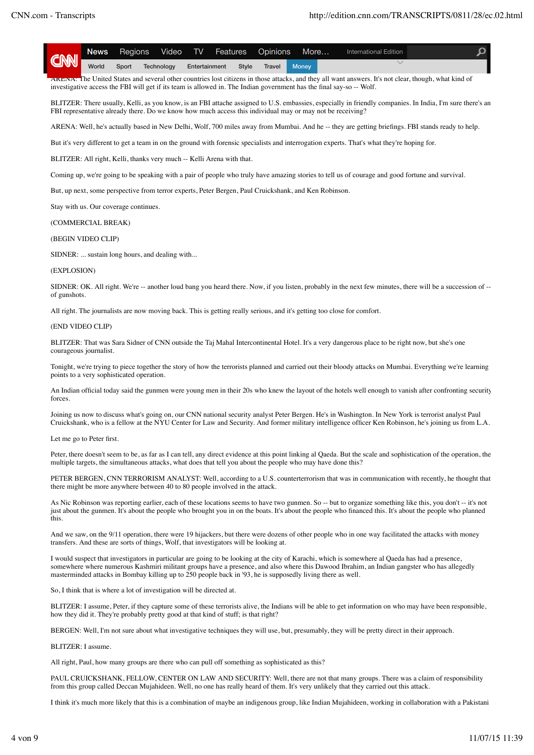| COM News Register Technology Entertainment Style Travel Money |  | News Regions Video TV Features Opinions More |  |  | International Edition |  |
|---------------------------------------------------------------|--|----------------------------------------------|--|--|-----------------------|--|
|                                                               |  |                                              |  |  |                       |  |

ARENA: The United States and several other countries lost citizens in those attacks, and they all want answers. It's not clear, though, what kind of investigative access the FBI will get if its team is allowed in. The Indian government has the final say-so -- Wolf.

BLITZER: There usually, Kelli, as you know, is an FBI attache assigned to U.S. embassies, especially in friendly companies. In India, I'm sure there's an FBI representative already there. Do we know how much access this individual may or may not be receiving?

ARENA: Well, he's actually based in New Delhi, Wolf, 700 miles away from Mumbai. And he -- they are getting briefings. FBI stands ready to help.

But it's very different to get a team in on the ground with forensic specialists and interrogation experts. That's what they're hoping for.

BLITZER: All right, Kelli, thanks very much -- Kelli Arena with that.

Coming up, we're going to be speaking with a pair of people who truly have amazing stories to tell us of courage and good fortune and survival.

But, up next, some perspective from terror experts, Peter Bergen, Paul Cruickshank, and Ken Robinson.

Stay with us. Our coverage continues.

(COMMERCIAL BREAK)

## (BEGIN VIDEO CLIP)

SIDNER: ... sustain long hours, and dealing with...

## (EXPLOSION)

SIDNER: OK. All right. We're -- another loud bang you heard there. Now, if you listen, probably in the next few minutes, there will be a succession of -of gunshots.

All right. The journalists are now moving back. This is getting really serious, and it's getting too close for comfort.

### (END VIDEO CLIP)

BLITZER: That was Sara Sidner of CNN outside the Taj Mahal Intercontinental Hotel. It's a very dangerous place to be right now, but she's one courageous journalist.

Tonight, we're trying to piece together the story of how the terrorists planned and carried out their bloody attacks on Mumbai. Everything we're learning points to a very sophisticated operation.

An Indian official today said the gunmen were young men in their 20s who knew the layout of the hotels well enough to vanish after confronting security forces.

Joining us now to discuss what's going on, our CNN national security analyst Peter Bergen. He's in Washington. In New York is terrorist analyst Paul Cruickshank, who is a fellow at the NYU Center for Law and Security. And former military intelligence officer Ken Robinson, he's joining us from L.A.

#### Let me go to Peter first.

Peter, there doesn't seem to be, as far as I can tell, any direct evidence at this point linking al Qaeda. But the scale and sophistication of the operation, the multiple targets, the simultaneous attacks, what does that tell you about the people who may have done this?

PETER BERGEN, CNN TERRORISM ANALYST: Well, according to a U.S. counterterrorism that was in communication with recently, he thought that there might be more anywhere between 40 to 80 people involved in the attack.

As Nic Robinson was reporting earlier, each of these locations seems to have two gunmen. So -- but to organize something like this, you don't -- it's not just about the gunmen. It's about the people who brought you in on the boats. It's about the people who financed this. It's about the people who planned this.

And we saw, on the 9/11 operation, there were 19 hijackers, but there were dozens of other people who in one way facilitated the attacks with money transfers. And these are sorts of things, Wolf, that investigators will be looking at.

I would suspect that investigators in particular are going to be looking at the city of Karachi, which is somewhere al Qaeda has had a presence, somewhere where numerous Kashmiri militant groups have a presence, and also where this Dawood Ibrahim, an Indian gangster who has allegedly masterminded attacks in Bombay killing up to 250 people back in '93, he is supposedly living there as well.

So, I think that is where a lot of investigation will be directed at.

BLITZER: I assume, Peter, if they capture some of these terrorists alive, the Indians will be able to get information on who may have been responsible, how they did it. They're probably pretty good at that kind of stuff; is that right?

BERGEN: Well, I'm not sure about what investigative techniques they will use, but, presumably, they will be pretty direct in their approach.

BLITZER: I assume.

All right, Paul, how many groups are there who can pull off something as sophisticated as this?

PAUL CRUICKSHANK, FELLOW, CENTER ON LAW AND SECURITY: Well, there are not that many groups. There was a claim of responsibility from this group called Deccan Mujahideen. Well, no one has really heard of them. It's very unlikely that they carried out this attack.

I think it's much more likely that this is a combination of maybe an indigenous group, like Indian Mujahideen, working in collaboration with a Pakistani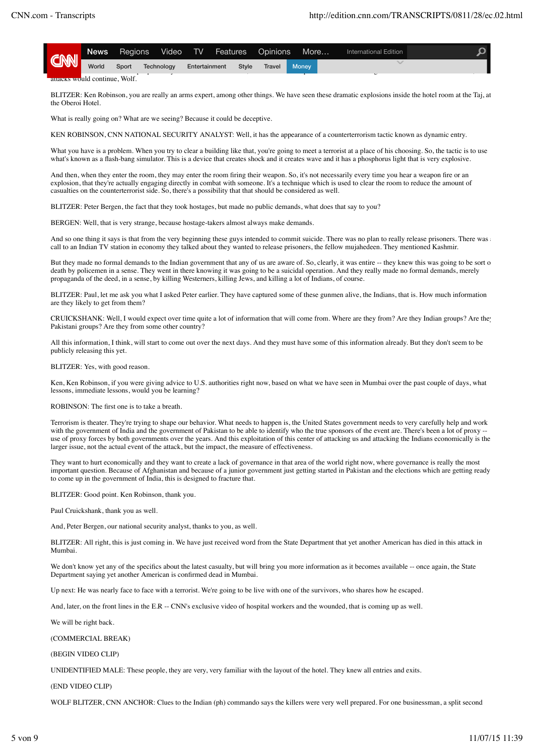| <b>CNN</b>                    | Regions<br>News . |       |            |               |              | Video TV Features Opinions | More         | International Edition |  |
|-------------------------------|-------------------|-------|------------|---------------|--------------|----------------------------|--------------|-----------------------|--|
|                               | World             | Sport | Technology | Entertainment | <b>Style</b> | <b>Travel</b>              | <b>Money</b> |                       |  |
| attacks would continue. Wolf. |                   |       |            |               |              |                            |              |                       |  |

BLITZER: Ken Robinson, you are really an arms expert, among other things. We have seen these dramatic explosions inside the hotel room at the Taj, at the Oberoi Hotel.

What is really going on? What are we seeing? Because it could be deceptive.

KEN ROBINSON, CNN NATIONAL SECURITY ANALYST: Well, it has the appearance of a counterterrorism tactic known as dynamic entry.

What you have is a problem. When you try to clear a building like that, you're going to meet a terrorist at a place of his choosing. So, the tactic is to use what's known as a flash-bang simulator. This is a device that creates shock and it creates wave and it has a phosphorus light that is very explosive.

And then, when they enter the room, they may enter the room firing their weapon. So, it's not necessarily every time you hear a weapon fire or an explosion, that they're actually engaging directly in combat with someone. It's a technique which is used to clear the room to reduce the amount of casualties on the counterterrorist side. So, there's a possibility that that should be considered as well.

BLITZER: Peter Bergen, the fact that they took hostages, but made no public demands, what does that say to you?

BERGEN: Well, that is very strange, because hostage-takers almost always make demands.

And so one thing it says is that from the very beginning these guys intended to commit suicide. There was no plan to really release prisoners. There was a call to an Indian TV station in economy they talked about they wanted to release prisoners, the fellow mujahedeen. They mentioned Kashmir.

But they made no formal demands to the Indian government that any of us are aware of. So, clearly, it was entire -- they knew this was going to be sort of death by policemen in a sense. They went in there knowing it was going to be a suicidal operation. And they really made no formal demands, merely propaganda of the deed, in a sense, by killing Westerners, killing Jews, and killing a lot of Indians, of course.

BLITZER: Paul, let me ask you what I asked Peter earlier. They have captured some of these gunmen alive, the Indians, that is. How much information are they likely to get from them?

CRUICKSHANK: Well, I would expect over time quite a lot of information that will come from. Where are they from? Are they Indian groups? Are they Pakistani groups? Are they from some other country?

All this information, I think, will start to come out over the next days. And they must have some of this information already. But they don't seem to be publicly releasing this yet.

BLITZER: Yes, with good reason.

Ken, Ken Robinson, if you were giving advice to U.S. authorities right now, based on what we have seen in Mumbai over the past couple of days, what lessons, immediate lessons, would you be learning?

ROBINSON: The first one is to take a breath.

Terrorism is theater. They're trying to shape our behavior. What needs to happen is, the United States government needs to very carefully help and work with the government of India and the government of Pakistan to be able to identify who the true sponsors of the event are. There's been a lot of proxy use of proxy forces by both governments over the years. And this exploitation of this center of attacking us and attacking the Indians economically is the larger issue, not the actual event of the attack, but the impact, the measure of effectiveness.

They want to hurt economically and they want to create a lack of governance in that area of the world right now, where governance is really the most important question. Because of Afghanistan and because of a junior government just getting started in Pakistan and the elections which are getting ready to come up in the government of India, this is designed to fracture that.

BLITZER: Good point. Ken Robinson, thank you.

Paul Cruickshank, thank you as well.

And, Peter Bergen, our national security analyst, thanks to you, as well.

BLITZER: All right, this is just coming in. We have just received word from the State Department that yet another American has died in this attack in Mumbai.

We don't know yet any of the specifics about the latest casualty, but will bring you more information as it becomes available -- once again, the State Department saying yet another American is confirmed dead in Mumbai.

Up next: He was nearly face to face with a terrorist. We're going to be live with one of the survivors, who shares how he escaped.

And, later, on the front lines in the E.R -- CNN's exclusive video of hospital workers and the wounded, that is coming up as well.

We will be right back.

(COMMERCIAL BREAK)

(BEGIN VIDEO CLIP)

UNIDENTIFIED MALE: These people, they are very, very familiar with the layout of the hotel. They knew all entries and exits.

(END VIDEO CLIP)

WOLF BLITZER, CNN ANCHOR: Clues to the Indian (ph) commando says the killers were very well prepared. For one businessman, a split second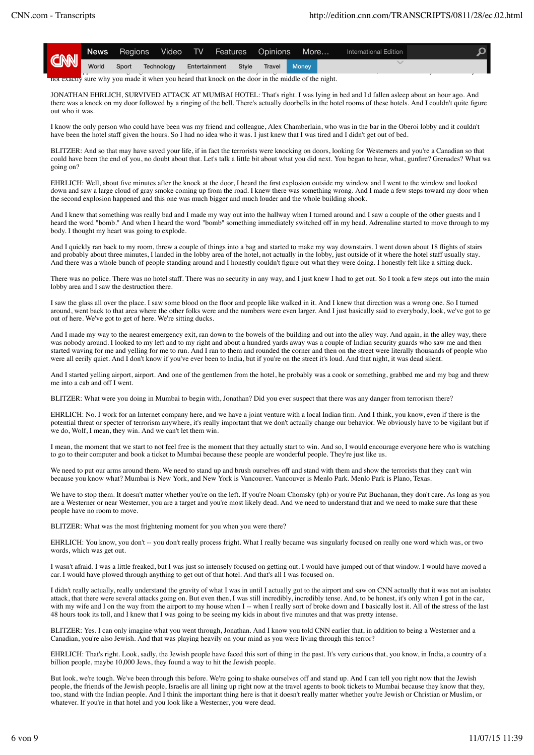|     | News  | Regions | Video      |               | TV Features Opinions |        | More         | International Edition |  |
|-----|-------|---------|------------|---------------|----------------------|--------|--------------|-----------------------|--|
| CNN | World | Sport   | Technology | Entertainment | Style                | Travel | <b>Money</b> |                       |  |

not exactly sure why you made it when you heard that knock on the door in the middle of the night.

JONATHAN EHRLICH, SURVIVED ATTACK AT MUMBAI HOTEL: That's right. I was lying in bed and I'd fallen asleep about an hour ago. And there was a knock on my door followed by a ringing of the bell. There's actually doorbells in the hotel rooms of these hotels. And I couldn't quite figure out who it was.

I know the only person who could have been was my friend and colleague, Alex Chamberlain, who was in the bar in the Oberoi lobby and it couldn't have been the hotel staff given the hours. So I had no idea who it was. I just knew that I was tired and I didn't get out of bed.

BLITZER: And so that may have saved your life, if in fact the terrorists were knocking on doors, looking for Westerners and you're a Canadian so that could have been the end of you, no doubt about that. Let's talk a little bit about what you did next. You began to hear, what, gunfire? Grenades? What was going on?

EHRLICH: Well, about five minutes after the knock at the door, I heard the first explosion outside my window and I went to the window and looked down and saw a large cloud of gray smoke coming up from the road. I knew there was something wrong. And I made a few steps toward my door when the second explosion happened and this one was much bigger and much louder and the whole building shook.

And I knew that something was really bad and I made my way out into the hallway when I turned around and I saw a couple of the other guests and I heard the word "bomb." And when I heard the word "bomb" something immediately switched off in my head. Adrenaline started to move through to my body. I thought my heart was going to explode.

And I quickly ran back to my room, threw a couple of things into a bag and started to make my way downstairs. I went down about 18 flights of stairs and probably about three minutes, I landed in the lobby area of the hotel, not actually in the lobby, just outside of it where the hotel staff usually stay. And there was a whole bunch of people standing around and I honestly couldn't figure out what they were doing. I honestly felt like a sitting duck.

There was no police. There was no hotel staff. There was no security in any way, and I just knew I had to get out. So I took a few steps out into the main lobby area and I saw the destruction there.

I saw the glass all over the place. I saw some blood on the floor and people like walked in it. And I knew that direction was a wrong one. So I turned around, went back to that area where the other folks were and the numbers were even larger. And I just basically said to everybody, look, we've got to get out of here. We've got to get of here. We're sitting ducks.

And I made my way to the nearest emergency exit, ran down to the bowels of the building and out into the alley way. And again, in the alley way, there was nobody around. I looked to my left and to my right and about a hundred vards away was a couple of Indian security guards who saw me and then started waving for me and yelling for me to run. And I ran to them and rounded the corner and then on the street were literally thousands of people who were all eerily quiet. And I don't know if you've ever been to India, but if you're on the street it's loud. And that night, it was dead silent.

And I started yelling airport, airport. And one of the gentlemen from the hotel, he probably was a cook or something, grabbed me and my bag and threw me into a cab and off I went.

BLITZER: What were you doing in Mumbai to begin with, Jonathan? Did you ever suspect that there was any danger from terrorism there?

EHRLICH: No. I work for an Internet company here, and we have a joint venture with a local Indian firm. And I think, you know, even if there is the potential threat or specter of terrorism anywhere, it's really important that we don't actually change our behavior. We obviously have to be vigilant but if we do, Wolf, I mean, they win. And we can't let them win.

I mean, the moment that we start to not feel free is the moment that they actually start to win. And so, I would encourage everyone here who is watching to go to their computer and book a ticket to Mumbai because these people are wonderful people. They're just like us.

We need to put our arms around them. We need to stand up and brush ourselves off and stand with them and show the terrorists that they can't win because you know what? Mumbai is New York, and New York is Vancouver. Vancouver is Menlo Park. Menlo Park is Plano, Texas.

We have to stop them. It doesn't matter whether you're on the left. If you're Noam Chomsky (ph) or you're Pat Buchanan, they don't care. As long as you are a Westerner or near Westerner, you are a target and you're most likely dead. And we need to understand that and we need to make sure that these people have no room to move.

BLITZER: What was the most frightening moment for you when you were there?

EHRLICH: You know, you don't -- you don't really process fright. What I really became was singularly focused on really one word which was, or two words, which was get out.

I wasn't afraid. I was a little freaked, but I was just so intensely focused on getting out. I would have jumped out of that window. I would have moved a car. I would have plowed through anything to get out of that hotel. And that's all I was focused on.

I didn't really actually, really understand the gravity of what I was in until I actually got to the airport and saw on CNN actually that it was not an isolated attack, that there were several attacks going on. But even then, I was still incredibly, incredibly tense. And, to be honest, it's only when I got in the car, with my wife and I on the way from the airport to my house when I -- when I really sort of broke down and I basically lost it. All of the stress of the last 48 hours took its toll, and I knew that I was going to be seeing my kids in about five minutes and that was pretty intense.

BLITZER: Yes. I can only imagine what you went through, Jonathan. And I know you told CNN earlier that, in addition to being a Westerner and a Canadian, you're also Jewish. And that was playing heavily on your mind as you were living through this terror?

EHRLICH: That's right. Look, sadly, the Jewish people have faced this sort of thing in the past. It's very curious that, you know, in India, a country of a billion people, maybe 10,000 Jews, they found a way to hit the Jewish people.

But look, we're tough. We've been through this before. We're going to shake ourselves off and stand up. And I can tell you right now that the Jewish people, the friends of the Jewish people, Israelis are all lining up right now at the travel agents to book tickets to Mumbai because they know that they, too, stand with the Indian people. And I think the important thing here is that it doesn't really matter whether you're Jewish or Christian or Muslim, or whatever. If you're in that hotel and you look like a Westerner, you were dead.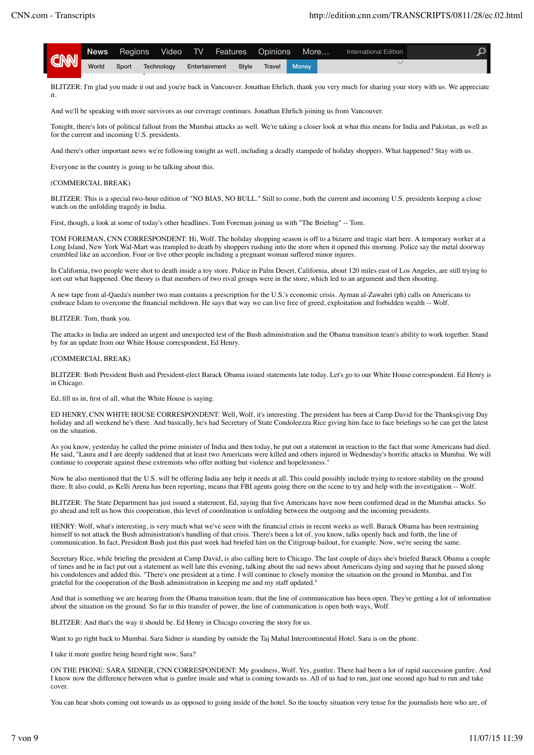| CNN |       | News Regions Video TV Features Opinions More |               |       |               |                    | International Edition |  |
|-----|-------|----------------------------------------------|---------------|-------|---------------|--------------------|-----------------------|--|
|     | World | Sport Technology                             | Entertainment | Style | <b>Travel</b> | Money <sup>1</sup> |                       |  |

BLITZER: I'm glad you made it out and you're back in Vancouver. Jonathan Ehrlich, thank you very much for sharing your story with us. We appreciate it.

And we'll be speaking with more survivors as our coverage continues. Jonathan Ehrlich joining us from Vancouver.

Tonight, there's lots of political fallout from the Mumbai attacks as well. We're taking a closer look at what this means for India and Pakistan, as well as for the current and incoming U.S. presidents.

And there's other important news we're following tonight as well, including a deadly stampede of holiday shoppers. What happened? Stay with us.

Everyone in the country is going to be talking about this.

### (COMMERCIAL BREAK)

BLITZER: This is a special two-hour edition of "NO BIAS, NO BULL." Still to come, both the current and incoming U.S. presidents keeping a close watch on the unfolding tragedy in India.

First, though, a look at some of today's other headlines. Tom Foreman joining us with "The Briefing" -- Tom.

TOM FOREMAN, CNN CORRESPONDENT: Hi, Wolf. The holiday shopping season is off to a bizarre and tragic start here. A temporary worker at a Long Island, New York Wal-Mart was trampled to death by shoppers rushing into the store when it opened this morning. Police say the metal doorway crumbled like an accordion. Four or five other people including a pregnant woman suffered minor injures.

In California, two people were shot to death inside a toy store. Police in Palm Desert, California, about 120 miles east of Los Angeles, are still trying to sort out what happened. One theory is that members of two rival groups were in the store, which led to an argument and then shooting.

A new tape from al-Qaeda's number two man contains a prescription for the U.S.'s economic crisis. Ayman al-Zawahri (ph) calls on Americans to embrace Islam to overcome the financial meltdown. He says that way we can live free of greed, exploitation and forbidden wealth -- Wolf.

BLITZER: Tom, thank you.

The attacks in India are indeed an urgent and unexpected test of the Bush administration and the Obama transition team's ability to work together. Stand by for an update from our White House correspondent, Ed Henry.

### (COMMERCIAL BREAK)

BLITZER: Both President Bush and President-elect Barack Obama issued statements late today. Let's go to our White House correspondent. Ed Henry is in Chicago.

Ed, fill us in, first of all, what the White House is saying.

ED HENRY, CNN WHITE HOUSE CORRESPONDENT: Well, Wolf, it's interesting. The president has been at Camp David for the Thanksgiving Day holiday and all weekend he's there. And basically, he's had Secretary of State Condoleezza Rice giving him face to face briefings so he can get the latest on the situation.

As you know, yesterday he called the prime minister of India and then today, he put out a statement in reaction to the fact that some Americans had died. He said, "Laura and I are deeply saddened that at least two Americans were killed and others injured in Wednesday's horrific attacks in Mumbai. We will continue to cooperate against these extremists who offer nothing but violence and hopelessness."

Now he also mentioned that the U.S. will be offering India any help it needs at all. This could possibly include trying to restore stability on the ground there. It also could, as Kelli Arena has been reporting, means that FBI agents going there on the scene to try and help with the investigation -- Wolf.

BLITZER: The State Department has just issued a statement, Ed, saying that five Americans have now been confirmed dead in the Mumbai attacks. So go ahead and tell us how this cooperation, this level of coordination is unfolding between the outgoing and the incoming presidents.

HENRY: Wolf, what's interesting, is very much what we've seen with the financial crisis in recent weeks as well. Barack Obama has been restraining himself to not attack the Bush administration's handling of that crisis. There's been a lot of, you know, talks openly back and forth, the line of communication. In fact, President Bush just this past week had briefed him on the Citigroup bailout, for example. Now, we're seeing the same.

Secretary Rice, while briefing the president at Camp David, is also calling here to Chicago. The last couple of days she's briefed Barack Obama a couple of times and he in fact put out a statement as well late this evening, talking about the sad news about Americans dying and saying that he passed along his condolences and added this. "There's one president at a time. I will continue to closely monitor the situation on the ground in Mumbai, and I'm grateful for the cooperation of the Bush administration in keeping me and my staff updated."

And that is something we are hearing from the Obama transition team, that the line of communication has been open. They're getting a lot of information about the situation on the ground. So far in this transfer of power, the line of communication is open both ways, Wolf.

BLITZER: And that's the way it should be. Ed Henry in Chicago covering the story for us.

Want to go right back to Mumbai. Sara Sidner is standing by outside the Taj Mahal Intercontinental Hotel. Sara is on the phone.

I take it more gunfire being heard right now, Sara?

ON THE PHONE: SARA SIDNER, CNN CORRESPONDENT: My goodness, Wolf. Yes, gunfire. There had been a lot of rapid succession gunfire. And I know now the difference between what is gunfire inside and what is coming towards us. All of us had to run, just one second ago had to run and take cover.

You can hear shots coming out towards us as opposed to going inside of the hotel. So the touchy situation very tense for the journalists here who are, of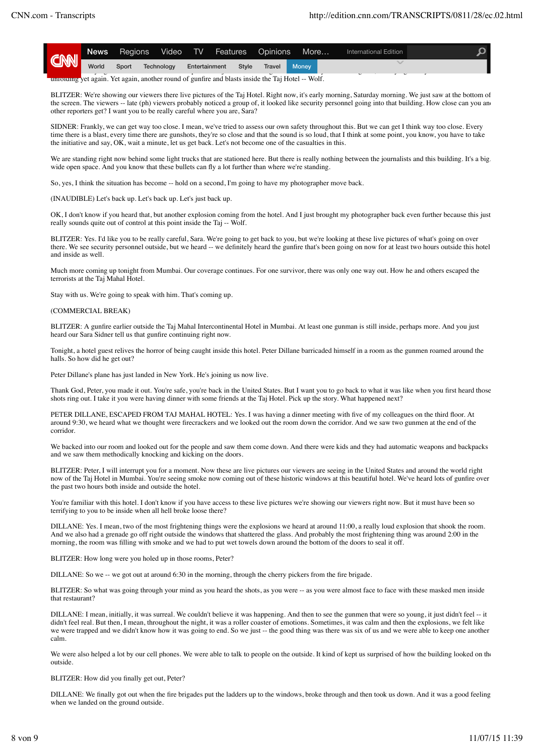| <b>CNN</b> | News . | Regions |                                                                                                                                                                                                  | Video TV Features Opinions |        | More         | International Edition |  |
|------------|--------|---------|--------------------------------------------------------------------------------------------------------------------------------------------------------------------------------------------------|----------------------------|--------|--------------|-----------------------|--|
|            | World  |         | Sport Technology                                                                                                                                                                                 | Entertainment Style        | Travel | <b>Money</b> |                       |  |
|            |        |         | $\blacksquare$ . The second of the second of $\blacksquare$ . The second of $\blacksquare$ . In the second of $\blacksquare$ . In the second of $\blacksquare$ . In the second of $\blacksquare$ |                            |        |              |                       |  |

unfolding yet again. Yet again, another round of gunfire and blasts inside the Taj Hotel -- Wolf.

BLITZER: We're showing our viewers there live pictures of the Taj Hotel. Right now, it's early morning, Saturday morning. We just saw at the bottom of the screen. The viewers -- late (ph) viewers probably noticed a group of, it looked like security personnel going into that building. How close can you and other reporters get? I want you to be really careful where you are, Sara?

SIDNER: Frankly, we can get way too close. I mean, we've tried to assess our own safety throughout this. But we can get I think way too close. Every time there is a blast, every time there are gunshots, they're so close and that the sound is so loud, that I think at some point, you know, you have to take the initiative and say, OK, wait a minute, let us get back. Let's not become one of the casualties in this.

We are standing right now behind some light trucks that are stationed here. But there is really nothing between the journalists and this building. It's a big, wide open space. And you know that these bullets can fly a lot further than where we're standing.

So, yes, I think the situation has become -- hold on a second, I'm going to have my photographer move back.

(INAUDIBLE) Let's back up. Let's back up. Let's just back up.

OK, I don't know if you heard that, but another explosion coming from the hotel. And I just brought my photographer back even further because this just really sounds quite out of control at this point inside the Taj -- Wolf.

BLITZER: Yes. I'd like you to be really careful, Sara. We're going to get back to you, but we're looking at these live pictures of what's going on over there. We see security personnel outside, but we heard -- we definitely heard the gunfire that's been going on now for at least two hours outside this hotel and inside as well.

Much more coming up tonight from Mumbai. Our coverage continues. For one survivor, there was only one way out. How he and others escaped the terrorists at the Taj Mahal Hotel.

Stay with us. We're going to speak with him. That's coming up.

## (COMMERCIAL BREAK)

BLITZER: A gunfire earlier outside the Taj Mahal Intercontinental Hotel in Mumbai. At least one gunman is still inside, perhaps more. And you just heard our Sara Sidner tell us that gunfire continuing right now.

Tonight, a hotel guest relives the horror of being caught inside this hotel. Peter Dillane barricaded himself in a room as the gunmen roamed around the halls. So how did he get out?

Peter Dillane's plane has just landed in New York. He's joining us now live.

Thank God, Peter, you made it out. You're safe, you're back in the United States. But I want you to go back to what it was like when you first heard those shots ring out. I take it you were having dinner with some friends at the Taj Hotel. Pick up the story. What happened next?

PETER DILLANE, ESCAPED FROM TAJ MAHAL HOTEL: Yes. I was having a dinner meeting with five of my colleagues on the third floor. At around 9:30, we heard what we thought were firecrackers and we looked out the room down the corridor. And we saw two gunmen at the end of the corridor.

We backed into our room and looked out for the people and saw them come down. And there were kids and they had automatic weapons and backpacks and we saw them methodically knocking and kicking on the doors.

BLITZER: Peter, I will interrupt you for a moment. Now these are live pictures our viewers are seeing in the United States and around the world right now of the Taj Hotel in Mumbai. You're seeing smoke now coming out of these historic windows at this beautiful hotel. We've heard lots of gunfire over the past two hours both inside and outside the hotel.

You're familiar with this hotel. I don't know if you have access to these live pictures we're showing our viewers right now. But it must have been so terrifying to you to be inside when all hell broke loose there?

DILLANE: Yes. I mean, two of the most frightening things were the explosions we heard at around 11:00, a really loud explosion that shook the room. And we also had a grenade go off right outside the windows that shattered the glass. And probably the most frightening thing was around 2:00 in the morning, the room was filling with smoke and we had to put wet towels down around the bottom of the doors to seal it off.

BLITZER: How long were you holed up in those rooms, Peter?

DILLANE: So we -- we got out at around 6:30 in the morning, through the cherry pickers from the fire brigade.

BLITZER: So what was going through your mind as you heard the shots, as you were -- as you were almost face to face with these masked men inside that restaurant?

DILLANE: I mean, initially, it was surreal. We couldn't believe it was happening. And then to see the gunmen that were so young, it just didn't feel -- it didn't feel real. But then, I mean, throughout the night, it was a roller coaster of emotions. Sometimes, it was calm and then the explosions, we felt like we were trapped and we didn't know how it was going to end. So we just -- the good thing was there was six of us and we were able to keep one another calm.

We were also helped a lot by our cell phones. We were able to talk to people on the outside. It kind of kept us surprised of how the building looked on the outside.

### BLITZER: How did you finally get out, Peter?

DILLANE: We finally got out when the fire brigades put the ladders up to the windows, broke through and then took us down. And it was a good feeling when we landed on the ground outside.